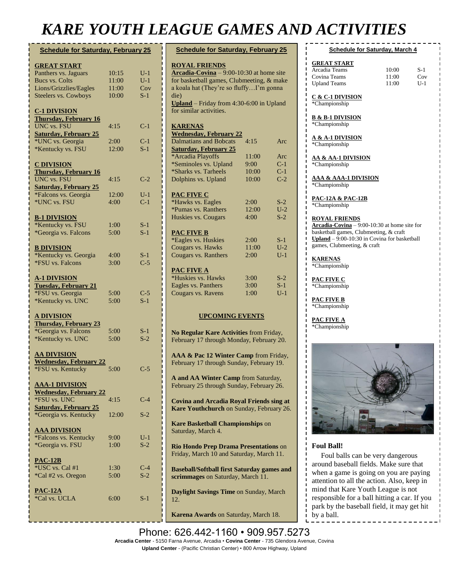## *KARE YOUTH LEAGUE GAMES AND ACTIVITIES*

| <b>Schedule for Saturday, February 25</b>          |               |                |
|----------------------------------------------------|---------------|----------------|
| <b>GREAT START</b>                                 |               |                |
| Panthers vs. Jaguars                               | 10:15         | $U-1$          |
| <b>Bucs vs. Colts</b>                              | 11:00         | $U-1$          |
| Lions/Grizzlies/Eagles                             | 11:00         | Cov            |
| <b>Steelers vs. Cowboys</b>                        | 10:00         | $S-1$          |
| <u>C-1 DIVISION</u>                                |               |                |
| <b>Thursday, February 16</b>                       |               |                |
| <b>UNC</b> vs. FSU                                 | 4:15          | $C-1$          |
| <b>Saturday, February 25</b>                       |               |                |
| *UNC vs. Georgia                                   | 2:00<br>12:00 | $C-1$<br>$S-1$ |
| *Kentucky vs. FSU                                  |               |                |
| <u>C DIVISION</u>                                  |               |                |
| <b>Thursday, February 16</b>                       |               |                |
| <b>UNC</b> vs. FSU                                 | 4:15          | $C-2$          |
| <b>Saturday, February 25</b>                       |               |                |
| *Falcons vs. Georgia<br>*UNC vs. FSU               | 12:00<br>4:00 | $U-1$<br>$C-1$ |
|                                                    |               |                |
| <b>B-1 DIVISION</b>                                |               |                |
| *Kentucky vs. FSU                                  | 1:00          | $S-1$          |
| *Georgia vs. Falcons                               | 5:00          | $S-1$          |
|                                                    |               |                |
| <b>B DIVISION</b><br>*Kentucky vs. Georgia         | 4:00          | $S-1$          |
| *FSU vs. Falcons                                   | 3:00          | $C-5$          |
|                                                    |               |                |
| <u>A-1 DIVISION</u>                                |               |                |
| <b>Tuesday, February 21</b>                        |               |                |
| *FSU vs. Georgia                                   | 5:00          | $C-5$          |
| *Kentucky vs. UNC                                  | 5:00          | $S-1$          |
| <u>A DIVISION</u>                                  |               |                |
| <b>Thursday, February 23</b>                       |               |                |
| *Georgia vs. Falcons                               | 5:00          | $S-1$          |
| *Kentucky vs. UNC                                  | 5:00          | $S-2$          |
|                                                    |               |                |
| <b>AA DIVISION</b>                                 |               |                |
| <b>Wednesday, February 22</b><br>*FSU vs. Kentucky | 5:00          | $C-5$          |
|                                                    |               |                |
| <b>AAA-1 DIVISION</b>                              |               |                |
| <b>Wednesday, February 22</b>                      |               |                |
| *FSU vs. UNC                                       | 4:15          | $C-4$          |
| <b>Saturday, February 25</b>                       |               |                |
| *Georgia vs. Kentucky                              | 12:00         | $S-2$          |
| <b>AAA DIVISION</b>                                |               |                |
| *Falcons vs. Kentucky                              | 9:00          | $U-1$          |
| *Georgia vs. FSU                                   | 1:00          | $S-2$          |
|                                                    |               |                |
| <b>PAC-12B</b><br>*USC vs. Cal #1                  | 1:30          | $C-4$          |
| *Cal #2 vs. Oregon                                 | 5:00          | $S-2$          |
|                                                    |               |                |
| <b>PAC-12A</b>                                     |               |                |
| *Cal vs. UCLA                                      | 6:00          | $S-1$          |
|                                                    |               |                |
|                                                    |               |                |

| <b>Schedule for Saturday, February 25</b>                                                   |       |                  |  |  |
|---------------------------------------------------------------------------------------------|-------|------------------|--|--|
|                                                                                             |       |                  |  |  |
| <b>ROYAL FRIENDS</b>                                                                        |       |                  |  |  |
| $\triangle$ rcadia-Covina – 9:00-10:30 at home site                                         |       |                  |  |  |
| for basketball games, Clubmeeting, & make                                                   |       |                  |  |  |
| a koala hat (They're so fluffyI'm gonna                                                     |       |                  |  |  |
| die)                                                                                        |       |                  |  |  |
| Upland - Friday from 4:30-6:00 in Upland                                                    |       |                  |  |  |
| for similar activities.                                                                     |       |                  |  |  |
|                                                                                             |       |                  |  |  |
| <b>KARENAS</b><br><b>Wednesday, February 22</b>                                             |       |                  |  |  |
| Dalmatians and Bobcats                                                                      | 4:15  | Arc              |  |  |
| <b>Saturday, February 25</b>                                                                |       |                  |  |  |
| *Arcadia Playoffs                                                                           | 11:00 | Arc              |  |  |
| *Seminoles vs. Upland                                                                       | 9:00  | $C-1$            |  |  |
| *Sharks vs. Tarheels                                                                        | 10:00 | $C-1$            |  |  |
| Dolphins vs. Upland                                                                         | 10:00 | $C-2$            |  |  |
|                                                                                             |       |                  |  |  |
| PAC FIVE C                                                                                  |       |                  |  |  |
| *Hawks vs. Eagles                                                                           | 2:00  | $S-2$            |  |  |
| *Pumas vs. Ranthers                                                                         | 12:00 | $U-2$            |  |  |
| Huskies vs. Cougars                                                                         | 4:00  | $S-2$            |  |  |
|                                                                                             |       |                  |  |  |
| <b>PAC FIVE B</b>                                                                           |       |                  |  |  |
| *Eagles vs. Huskies                                                                         | 2:00  | S-1              |  |  |
| Cougars vs. Hawks                                                                           | 11:00 | $U-2$            |  |  |
| Cougars vs. Ranthers                                                                        | 2:00  | $U-1$            |  |  |
| <b>PAC FIVE A</b>                                                                           |       |                  |  |  |
| *Huskies vs. Hawks                                                                          | 3:00  | $S-2$            |  |  |
| Eagles vs. Panthers                                                                         | 3:00  | $S-1$            |  |  |
| Cougars vs. Ravens                                                                          | 1:00  | $\overline{U-1}$ |  |  |
|                                                                                             |       |                  |  |  |
|                                                                                             |       |                  |  |  |
| <b>UPCOMING EVENTS</b>                                                                      |       |                  |  |  |
|                                                                                             |       |                  |  |  |
| No Regular Kare Activities from Friday,                                                     |       |                  |  |  |
| February 17 through Monday, February 20.                                                    |       |                  |  |  |
|                                                                                             |       |                  |  |  |
| AAA & Pac 12 Winter Camp from Friday,                                                       |       |                  |  |  |
| February 17 through Sunday, February 19.                                                    |       |                  |  |  |
|                                                                                             |       |                  |  |  |
| A and AA Winter Camp from Saturday,                                                         |       |                  |  |  |
| February 25 through Sunday, February 26.                                                    |       |                  |  |  |
|                                                                                             |       |                  |  |  |
| <b>Covina and Arcadia Royal Friends sing at</b><br>Kare Youthchurch on Sunday, February 26. |       |                  |  |  |
|                                                                                             |       |                  |  |  |
| Kare Basketball Championships on                                                            |       |                  |  |  |
| Saturday, March 4.                                                                          |       |                  |  |  |
|                                                                                             |       |                  |  |  |
| Rio Hondo Prep Drama Presentations on                                                       |       |                  |  |  |
| Friday, March 10 and Saturday, March 11.                                                    |       |                  |  |  |
|                                                                                             |       |                  |  |  |
| <b>Baseball/Softball first Saturday games and</b>                                           |       |                  |  |  |
| scrimmages on Saturday, March 11.                                                           |       |                  |  |  |
|                                                                                             |       |                  |  |  |

**Daylight Savings Time** on Sunday, March 12.

**Karena Awards** on Saturday, March 18.

#### **Schedule for Saturday, March 4**

| 10:00 | $S-1$ |
|-------|-------|
| 11:00 | Cov   |
| 11:00 | U-1   |
|       |       |

**C & C-1 DIVISION** \*Championship

**B & B-1 DIVISION** \*Championship

**A & A-1 DIVISION** \*Championship

#### **AA & AA-1 DIVISION** \*Championship

**AAA & AAA-1 DIVISION** \*Championship

**PAC-12A & PAC-12B** \*Championship

**ROYAL FRIENDS Arcadia-Covina** – 9:00-10:30 at home site for basketball games, Clubmeeting, & craft

**Upland** –  $9:00-10:30$  in Covina for basketball games, Clubmeeting, & craft

**KARENAS** \*Championship

**PAC FIVE C** \*Championship

**PAC FIVE B** \*Championship

**PAC FIVE A** \*Championship



#### **Foul Ball!**

 Foul balls can be very dangerous around baseball fields. Make sure that when a game is going on you are paying attention to all the action. Also, keep in mind that Kare Youth League is not responsible for a ball hitting a car. If you park by the baseball field, it may get hit by a ball.